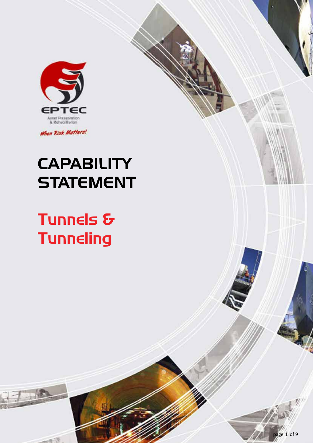

When Risk Matters!

# **CAPABILITY STATEMENT**

# Tunnels & **Tunneling**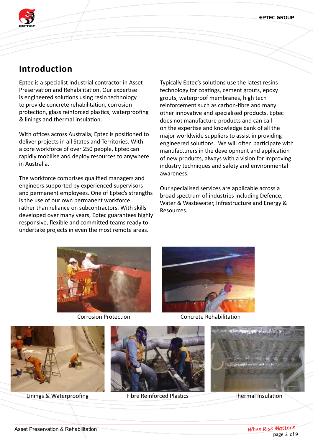EPTEC GROUP



# **Introduction**

Eptec is a specialist industrial contractor in Asset Preservation and Rehabilitation. Our expertise is engineered solutions using resin technology to provide concrete rehabilitation, corrosion protection, glass reinforced plastics, waterproofing & linings and thermal insulation.

With offices across Australia, Eptec is positioned to deliver projects in all States and Territories. With a core workforce of over 250 people, Eptec can rapidly mobilise and deploy resources to anywhere in Australia.

The workforce comprises qualified managers and engineers supported by experienced supervisors and permanent employees. One of Eptec's strengths is the use of our own permanent workforce rather than reliance on subcontractors. With skills developed over many years, Eptec guarantees highly responsive, flexible and committed teams ready to undertake projects in even the most remote areas.

Typically Eptec's solutions use the latest resins technology for coatings, cement grouts, epoxy grouts, waterproof membranes, high tech reinforcement such as carbon-fibre and many other innovative and specialised products. Eptec does not manufacture products and can call on the expertise and knowledge bank of all the major worldwide suppliers to assist in providing engineered solutions. We will often participate with manufacturers in the development and application of new products, always with a vision for improving industry techniques and safety and environmental awareness.

Our specialised services are applicable across a broad spectrum of industries including Defence, Water & Wastewater, Infrastructure and Energy & Resources.





Corrosion Protection Concrete Rehabilitation



Linings & Waterproofing Fibre Reinforced Plastics Thermal Insulation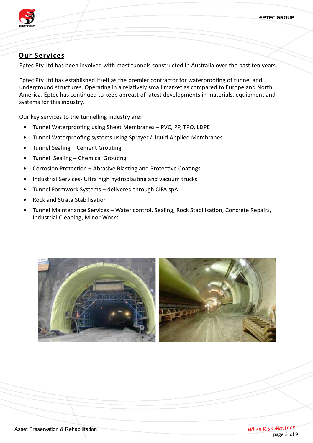EPTEC GROUP



# **Our Services**

Eptec Pty Ltd has been involved with most tunnels constructed in Australia over the past ten years.

Eptec Pty Ltd has established itself as the premier contractor for waterproofing of tunnel and underground structures. Operating in a relatively small market as compared to Europe and North America, Eptec has continued to keep abreast of latest developments in materials, equipment and systems for this industry.

Our key services to the tunnelling industry are:

- Tunnel Waterproofing using Sheet Membranes PVC, PP, TPO, LDPE
- Tunnel Waterproofing systems using Sprayed/Liquid Applied Membranes
- Tunnel Sealing Cement Grouting
- Tunnel Sealing Chemical Grouting
- Corrosion Protection Abrasive Blasting and Protective Coatings
- Industrial Services- Ultra high hydroblasting and vacuum trucks
- Tunnel Formwork Systems delivered through CIFA spA
- Rock and Strata Stabilisation
- Tunnel Maintenance Services Water control, Sealing, Rock Stabilisation, Concrete Repairs, Industrial Cleaning, Minor Works

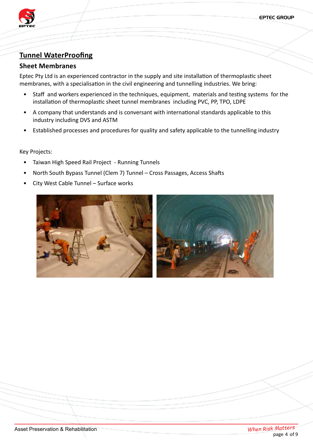

# **Tunnel WaterProofing**

### **Sheet Membranes**

Eptec Pty Ltd is an experienced contractor in the supply and site installation of thermoplastic sheet membranes, with a specialisation in the civil engineering and tunnelling industries. We bring:

- Staff and workers experienced in the techniques, equipment, materials and testing systems for the installation of thermoplastic sheet tunnel membranes including PVC, PP, TPO, LDPE
- A company that understands and is conversant with international standards applicable to this industry including DVS and ASTM
- Established processes and procedures for quality and safety applicable to the tunnelling industry

- Taiwan High Speed Rail Project Running Tunnels
- North South Bypass Tunnel (Clem 7) Tunnel Cross Passages, Access Shafts
- City West Cable Tunnel Surface works

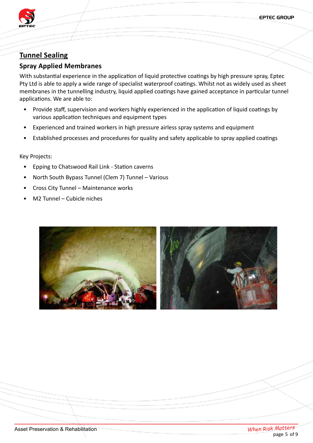

# **Tunnel Sealing**

### **Spray Applied Membranes**

With substantial experience in the application of liquid protective coatings by high pressure spray, Eptec Pty Ltd is able to apply a wide range of specialist waterproof coatings. Whilst not as widely used as sheet membranes in the tunnelling industry, liquid applied coatings have gained acceptance in particular tunnel applications. We are able to:

- Provide staff, supervision and workers highly experienced in the application of liquid coatings by various application techniques and equipment types
- Experienced and trained workers in high pressure airless spray systems and equipment
- Established processes and procedures for quality and safety applicable to spray applied coatings

- Epping to Chatswood Rail Link Station caverns
- North South Bypass Tunnel (Clem 7) Tunnel Various
- Cross City Tunnel Maintenance works
- M2 Tunnel Cubicle niches

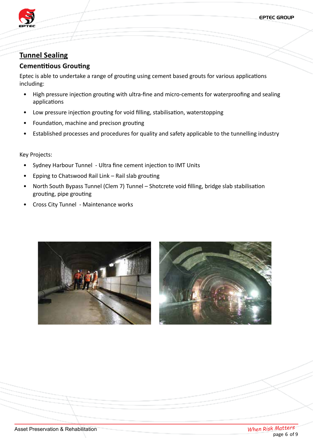

# **Tunnel Sealing**

### **Cementitious Grouting**

Eptec is able to undertake a range of grouting using cement based grouts for various applications including:

- High pressure injection grouting with ultra-fine and micro-cements for waterproofing and sealing applications
- Low pressure injection grouting for void filling, stabilisation, waterstopping
- Foundation, machine and precison grouting
- Established processes and procedures for quality and safety applicable to the tunnelling industry

- Sydney Harbour Tunnel Ultra fine cement injection to IMT Units
- Epping to Chatswood Rail Link Rail slab grouting
- North South Bypass Tunnel (Clem 7) Tunnel Shotcrete void filling, bridge slab stabilisation grouting, pipe grouting
- Cross City Tunnel Maintenance works



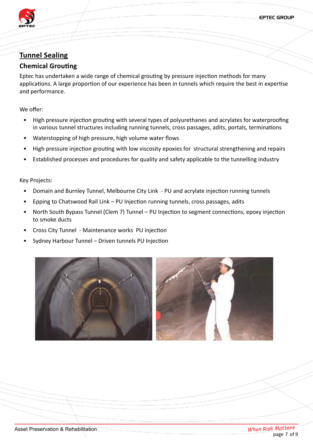EPTEC GROUP



# **Tunnel Sealing**

### **Chemical Grouting**

Eptec has undertaken a wide range of chemical grouting by pressure injection methods for many applications. A large proportion of our experience has been in tunnels which require the best in expertise and performance.

We offer:

- High pressure injection grouting with several types of polyurethanes and acrylates for waterproofing in various tunnel structures including running tunnels, cross passages, adits, portals, terminations
- Waterstopping of high pressure, high volume water flows
- High pressure injection grouting with low viscosity epoxies for structural strengthening and repairs
- Established processes and procedures for quality and safety applicable to the tunnelling industry

- Domain and Burnley Tunnel, Melbourne City Link PU and acrylate injection running tunnels
- Epping to Chatswood Rail Link PU Injection running tunnels, cross passages, adits
- North South Bypass Tunnel (Clem 7) Tunnel PU Injection to segment connections, epoxy injection to smoke ducts
- Cross City Tunnel Maintenance works PU injection
- Sydney Harbour Tunnel Driven tunnels PU Injection

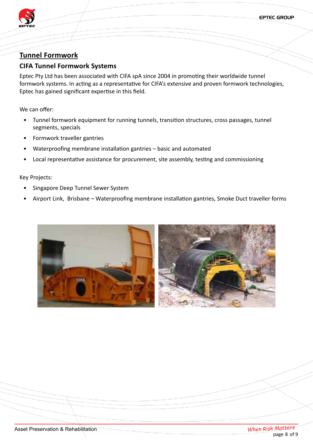

### **Tunnel Formwork**

### **CIFA Tunnel Formwork Systems**

Eptec Pty Ltd has been associated with CIFA spA since 2004 in promoting their worldwide tunnel formwork systems. In acting as a representative for CIFA's extensive and proven formwork technologies, Eptec has gained significant expertise in this field.

We can offer:

- Tunnel formwork equipment for running tunnels, transition structures, cross passages, tunnel segments, specials
- Formwork traveller gantries
- Waterproofing membrane installation gantries basic and automated
- Local representative assistance for procurement, site assembly, testing and commissioning

- Singapore Deep Tunnel Sewer System
- Airport Link, Brisbane Waterproofing membrane installation gantries, Smoke Duct traveller forms